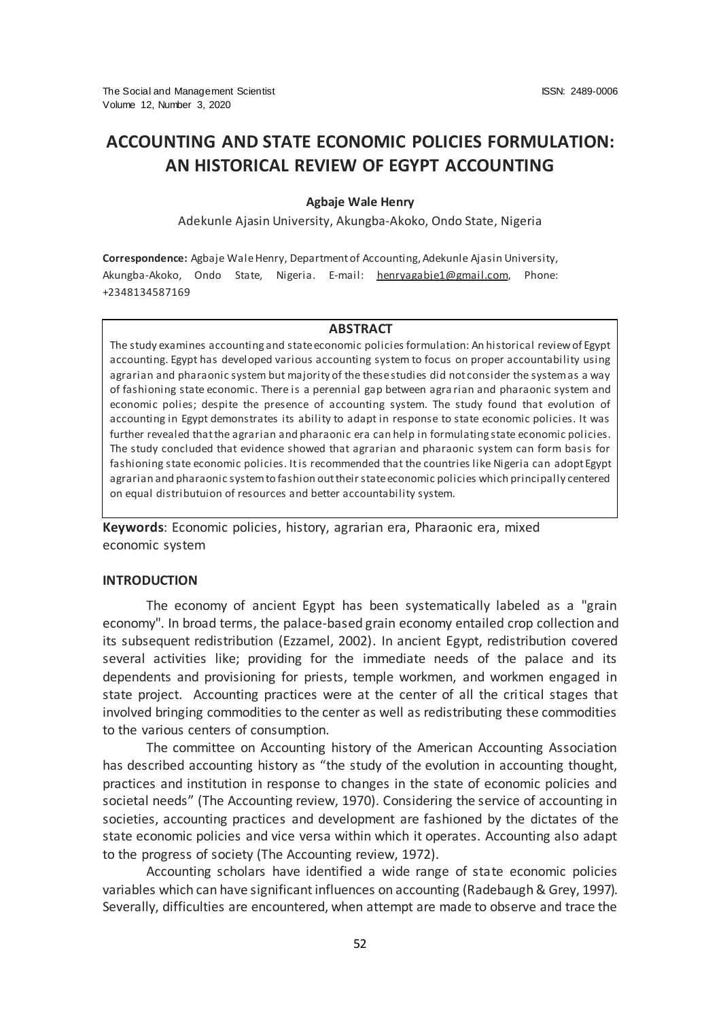# **ACCOUNTING AND STATE ECONOMIC POLICIES FORMULATION: AN HISTORICAL REVIEW OF EGYPT ACCOUNTING**

## **Agbaje Wale Henry**

Adekunle Ajasin University, Akungba-Akoko, Ondo State, Nigeria

**Correspondence:** Agbaje Wale Henry, Department of Accounting, Adekunle Ajasin University, Akungba-Akoko, Ondo State, Nigeria. E-mail: [henryagabje1@gmail.com,](mailto:henryagabje1@gmail.com) Phone: +2348134587169

#### **ABSTRACT**

The study examines accounting and state economic policies formulation: An historical review of Egypt accounting. Egypt has developed various accounting system to focus on proper accountability using agrarian and pharaonic system but majority of the these studies did not consider the system as a way of fashioning state economic. There is a perennial gap between agra rian and pharaonic system and economic polies; despite the presence of accounting system. The study found that evolution of accounting in Egypt demonstrates its ability to adapt in response to state economic policies. It was further revealed that the agrarian and pharaonic era can help in formulating state economic policies. The study concluded that evidence showed that agrarian and pharaonic system can form basis for fashioning state economic policies. It is recommended that the countries like Nigeria can adopt Egypt agrarian and pharaonic system to fashion out their state economic policies which principally centered on equal distributuion of resources and better accountability system.

**Keywords**: Economic policies, history, agrarian era, Pharaonic era, mixed economic system

#### **INTRODUCTION**

The economy of ancient Egypt has been systematically labeled as a "grain economy". In broad terms, the palace-based grain economy entailed crop collection and its subsequent redistribution (Ezzamel, 2002). In ancient Egypt, redistribution covered several activities like; providing for the immediate needs of the palace and its dependents and provisioning for priests, temple workmen, and workmen engaged in state project. Accounting practices were at the center of all the critical stages that involved bringing commodities to the center as well as redistributing these commodities to the various centers of consumption.

The committee on Accounting history of the American Accounting Association has described accounting history as "the study of the evolution in accounting thought, practices and institution in response to changes in the state of economic policies and societal needs" (The Accounting review, 1970). Considering the service of accounting in societies, accounting practices and development are fashioned by the dictates of the state economic policies and vice versa within which it operates. Accounting also adapt to the progress of society (The Accounting review, 1972).

Accounting scholars have identified a wide range of state economic policies variables which can have significant influences on accounting (Radebaugh & Grey, 1997). Severally, difficulties are encountered, when attempt are made to observe and trace the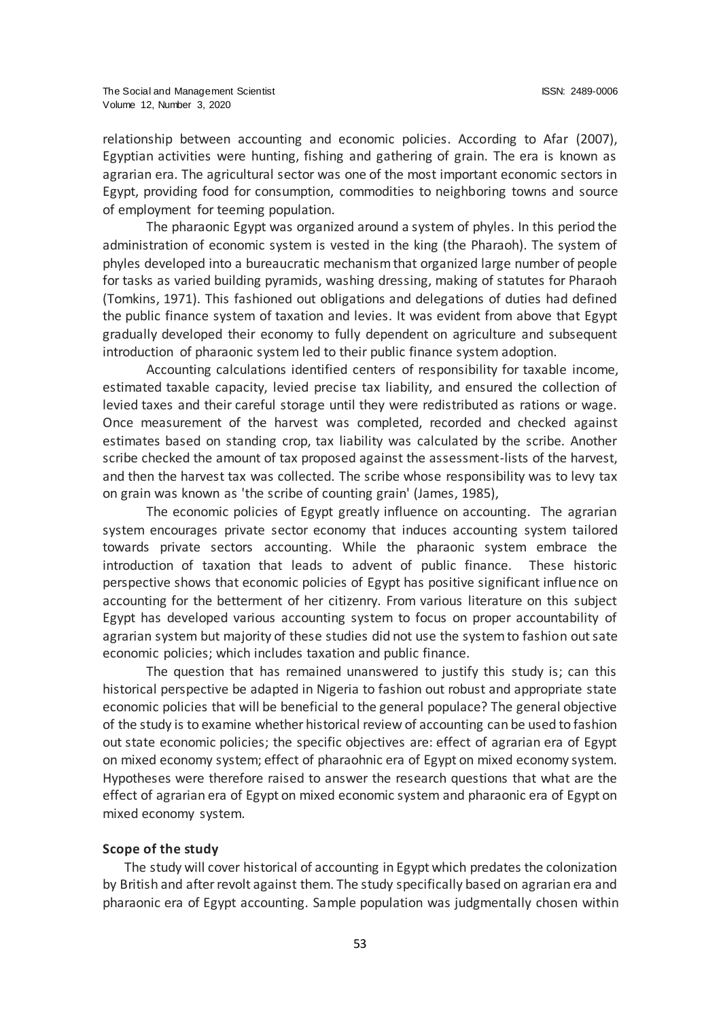relationship between accounting and economic policies. According to Afar (2007), Egyptian activities were hunting, fishing and gathering of grain. The era is known as agrarian era. The agricultural sector was one of the most important economic sectors in Egypt, providing food for consumption, commodities to neighboring towns and source of employment for teeming population.

The pharaonic Egypt was organized around a system of phyles. In this period the administration of economic system is vested in the king (the Pharaoh). The system of phyles developed into a bureaucratic mechanism that organized large number of people for tasks as varied building pyramids, washing dressing, making of statutes for Pharaoh (Tomkins, 1971). This fashioned out obligations and delegations of duties had defined the public finance system of taxation and levies. It was evident from above that Egypt gradually developed their economy to fully dependent on agriculture and subsequent introduction of pharaonic system led to their public finance system adoption.

Accounting calculations identified centers of responsibility for taxable income, estimated taxable capacity, levied precise tax liability, and ensured the collection of levied taxes and their careful storage until they were redistributed as rations or wage. Once measurement of the harvest was completed, recorded and checked against estimates based on standing crop, tax liability was calculated by the scribe. Another scribe checked the amount of tax proposed against the assessment-lists of the harvest, and then the harvest tax was collected. The scribe whose responsibility was to levy tax on grain was known as 'the scribe of counting grain' (James, 1985),

The economic policies of Egypt greatly influence on accounting. The agrarian system encourages private sector economy that induces accounting system tailored towards private sectors accounting. While the pharaonic system embrace the introduction of taxation that leads to advent of public finance. These historic perspective shows that economic policies of Egypt has positive significant influence on accounting for the betterment of her citizenry. From various literature on this subject Egypt has developed various accounting system to focus on proper accountability of agrarian system but majority of these studies did not use the system to fashion out sate economic policies; which includes taxation and public finance.

The question that has remained unanswered to justify this study is; can this historical perspective be adapted in Nigeria to fashion out robust and appropriate state economic policies that will be beneficial to the general populace? The general objective of the study is to examine whether historical review of accounting can be used to fashion out state economic policies; the specific objectives are: effect of agrarian era of Egypt on mixed economy system; effect of pharaohnic era of Egypt on mixed economy system. Hypotheses were therefore raised to answer the research questions that what are the effect of agrarian era of Egypt on mixed economic system and pharaonic era of Egypt on mixed economy system.

## **Scope of the study**

The study will cover historical of accounting in Egypt which predates the colonization by British and after revolt against them. The study specifically based on agrarian era and pharaonic era of Egypt accounting. Sample population was judgmentally chosen within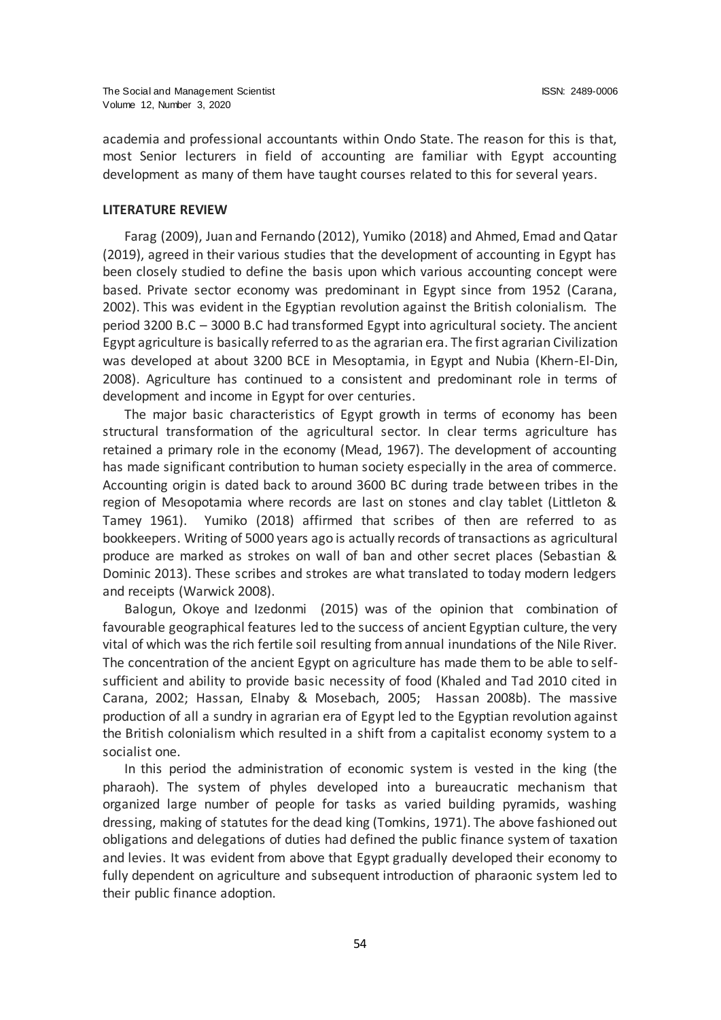academia and professional accountants within Ondo State. The reason for this is that, most Senior lecturers in field of accounting are familiar with Egypt accounting development as many of them have taught courses related to this for several years.

## **LITERATURE REVIEW**

Farag (2009), Juan and Fernando (2012), Yumiko (2018) and Ahmed, Emad and Qatar (2019), agreed in their various studies that the development of accounting in Egypt has been closely studied to define the basis upon which various accounting concept were based. Private sector economy was predominant in Egypt since from 1952 (Carana, 2002). This was evident in the Egyptian revolution against the British colonialism. The period 3200 B.C – 3000 B.C had transformed Egypt into agricultural society. The ancient Egypt agriculture is basically referred to as the agrarian era. The first agrarian Civilization was developed at about 3200 BCE in Mesoptamia, in Egypt and Nubia (Khern-El-Din, 2008). Agriculture has continued to a consistent and predominant role in terms of development and income in Egypt for over centuries.

The major basic characteristics of Egypt growth in terms of economy has been structural transformation of the agricultural sector. In clear terms agriculture has retained a primary role in the economy (Mead, 1967). The development of accounting has made significant contribution to human society especially in the area of commerce. Accounting origin is dated back to around 3600 BC during trade between tribes in the region of Mesopotamia where records are last on stones and clay tablet (Littleton & Tamey 1961). Yumiko (2018) affirmed that scribes of then are referred to as bookkeepers. Writing of 5000 years ago is actually records of transactions as agricultural produce are marked as strokes on wall of ban and other secret places (Sebastian & Dominic 2013). These scribes and strokes are what translated to today modern ledgers and receipts (Warwick 2008).

Balogun, Okoye and Izedonmi (2015) was of the opinion that combination of favourable geographical features led to the success of ancient Egyptian culture, the very vital of which was the rich fertile soil resulting from annual inundations of the Nile River. The concentration of the ancient Egypt on agriculture has made them to be able to selfsufficient and ability to provide basic necessity of food (Khaled and Tad 2010 cited in Carana, 2002; Hassan, Elnaby & Mosebach, 2005; Hassan 2008b). The massive production of all a sundry in agrarian era of Egypt led to the Egyptian revolution against the British colonialism which resulted in a shift from a capitalist economy system to a socialist one.

In this period the administration of economic system is vested in the king (the pharaoh). The system of phyles developed into a bureaucratic mechanism that organized large number of people for tasks as varied building pyramids, washing dressing, making of statutes for the dead king (Tomkins, 1971). The above fashioned out obligations and delegations of duties had defined the public finance system of taxation and levies. It was evident from above that Egypt gradually developed their economy to fully dependent on agriculture and subsequent introduction of pharaonic system led to their public finance adoption.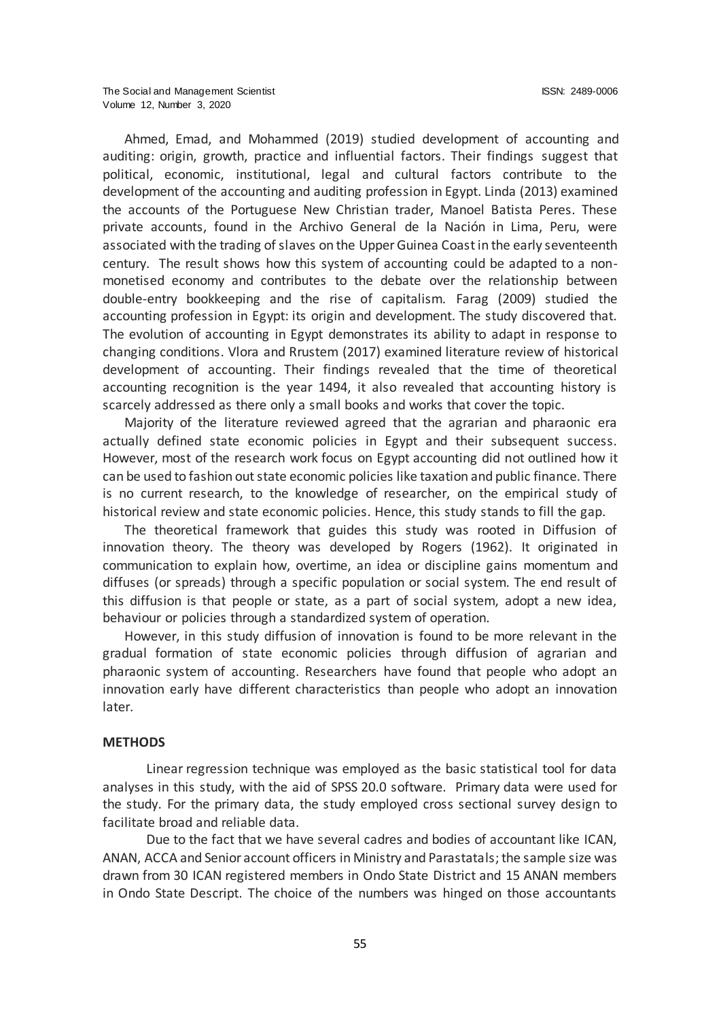Ahmed, Emad, and Mohammed (2019) studied development of accounting and auditing: origin, growth, practice and influential factors. Their findings suggest that political, economic, institutional, legal and cultural factors contribute to the development of the accounting and auditing profession in Egypt. Linda (2013) examined the accounts of the Portuguese New Christian trader, Manoel Batista Peres. These private accounts, found in the Archivo General de la Nación in Lima, Peru, were associated with the trading of slaves on the Upper Guinea Coast in the early seventeenth century. The result shows how this system of accounting could be adapted to a nonmonetised economy and contributes to the debate over the relationship between double-entry bookkeeping and the rise of capitalism. Farag (2009) studied the accounting profession in Egypt: its origin and development. The study discovered that. The evolution of accounting in Egypt demonstrates its ability to adapt in response to changing conditions. Vlora and Rrustem (2017) examined literature review of historical development of accounting. Their findings revealed that the time of theoretical accounting recognition is the year 1494, it also revealed that accounting history is scarcely addressed as there only a small books and works that cover the topic.

Majority of the literature reviewed agreed that the agrarian and pharaonic era actually defined state economic policies in Egypt and their subsequent success. However, most of the research work focus on Egypt accounting did not outlined how it can be used to fashion out state economic policies like taxation and public finance. There is no current research, to the knowledge of researcher, on the empirical study of historical review and state economic policies. Hence, this study stands to fill the gap.

The theoretical framework that guides this study was rooted in Diffusion of innovation theory. The theory was developed by Rogers (1962). It originated in communication to explain how, overtime, an idea or discipline gains momentum and diffuses (or spreads) through a specific population or social system. The end result of this diffusion is that people or state, as a part of social system, adopt a new idea, behaviour or policies through a standardized system of operation.

However, in this study diffusion of innovation is found to be more relevant in the gradual formation of state economic policies through diffusion of agrarian and pharaonic system of accounting. Researchers have found that people who adopt an innovation early have different characteristics than people who adopt an innovation later.

# **METHODS**

Linear regression technique was employed as the basic statistical tool for data analyses in this study, with the aid of SPSS 20.0 software. Primary data were used for the study. For the primary data, the study employed cross sectional survey design to facilitate broad and reliable data.

Due to the fact that we have several cadres and bodies of accountant like ICAN, ANAN, ACCA and Senior account officers in Ministry and Parastatals; the sample size was drawn from 30 ICAN registered members in Ondo State District and 15 ANAN members in Ondo State Descript. The choice of the numbers was hinged on those accountants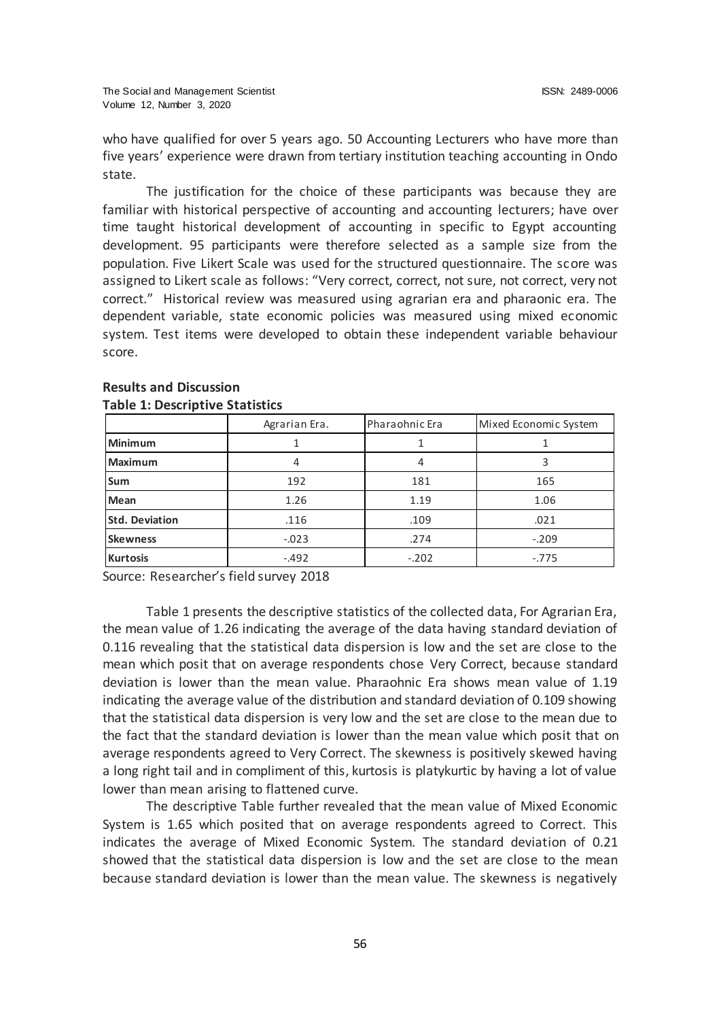who have qualified for over 5 years ago. 50 Accounting Lecturers who have more than five years' experience were drawn from tertiary institution teaching accounting in Ondo state.

The justification for the choice of these participants was because they are familiar with historical perspective of accounting and accounting lecturers; have over time taught historical development of accounting in specific to Egypt accounting development. 95 participants were therefore selected as a sample size from the population. Five Likert Scale was used for the structured questionnaire. The score was assigned to Likert scale as follows: "Very correct, correct, not sure, not correct, very not correct." Historical review was measured using agrarian era and pharaonic era. The dependent variable, state economic policies was measured using mixed economic system. Test items were developed to obtain these independent variable behaviour score.

|                       | Agrarian Era. | Pharaohnic Era | Mixed Economic System |  |
|-----------------------|---------------|----------------|-----------------------|--|
| <b>Minimum</b>        | ┸             |                |                       |  |
| <b>Maximum</b>        | 4             | 4              |                       |  |
| <b>Sum</b>            | 192           | 181            | 165                   |  |
| <b>Mean</b>           | 1.26          | 1.19           | 1.06                  |  |
| <b>Std. Deviation</b> | .116          | .109           | .021                  |  |
| <b>Skewness</b>       | $-.023$       | .274           | $-.209$               |  |
| <b>Kurtosis</b>       | $-492$        | $-.202$        | $-0.775$              |  |

# **Results and Discussion Table 1: Descriptive Statistics**

Source: Researcher's field survey 2018

Table 1 presents the descriptive statistics of the collected data, For Agrarian Era, the mean value of 1.26 indicating the average of the data having standard deviation of 0.116 revealing that the statistical data dispersion is low and the set are close to the mean which posit that on average respondents chose Very Correct, because standard deviation is lower than the mean value. Pharaohnic Era shows mean value of 1.19 indicating the average value of the distribution and standard deviation of 0.109 showing that the statistical data dispersion is very low and the set are close to the mean due to the fact that the standard deviation is lower than the mean value which posit that on average respondents agreed to Very Correct. The skewness is positively skewed having a long right tail and in compliment of this, kurtosis is platykurtic by having a lot of value lower than mean arising to flattened curve.

The descriptive Table further revealed that the mean value of Mixed Economic System is 1.65 which posited that on average respondents agreed to Correct. This indicates the average of Mixed Economic System. The standard deviation of 0.21 showed that the statistical data dispersion is low and the set are close to the mean because standard deviation is lower than the mean value. The skewness is negatively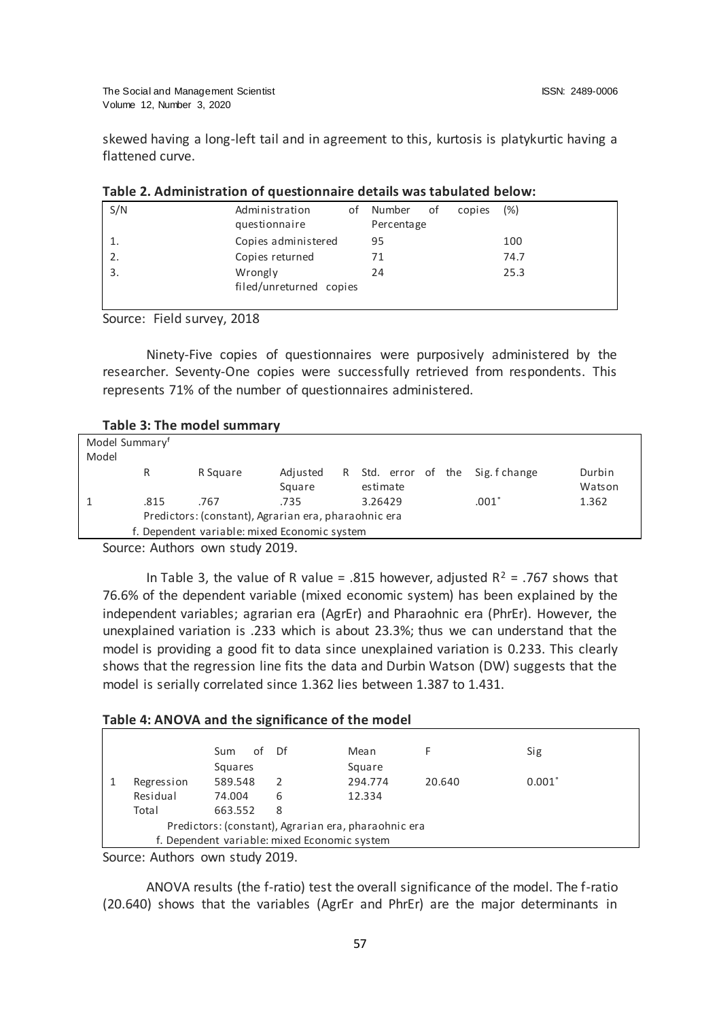skewed having a long-left tail and in agreement to this, kurtosis is platykurtic having a flattened curve.

| S/N | Administration<br>questionnaire    | οf | Number<br>Percentage | οf | copies | (%)  |
|-----|------------------------------------|----|----------------------|----|--------|------|
|     | Copies administered                |    | 95                   |    |        | 100  |
|     | Copies returned                    | 71 |                      |    | 74.7   |      |
|     | Wrongly<br>filed/unreturned copies |    | 24                   |    |        | 25.3 |

Source: Field survey, 2018

Ninety-Five copies of questionnaires were purposively administered by the researcher. Seventy-One copies were successfully retrieved from respondents. This represents 71% of the number of questionnaires administered.

| Model Summary <sup>f</sup><br>Model                  |      |          |                    |  |          |  |                                   |                  |
|------------------------------------------------------|------|----------|--------------------|--|----------|--|-----------------------------------|------------------|
|                                                      | R    | R Square | Adiusted<br>Square |  | estimate |  | R Std. error of the Sig. f change | Durbin<br>Watson |
|                                                      | .815 | .767     | .735               |  | 3.26429  |  | $.001\degree$                     | 1.362            |
| Predictors: (constant), Agrarian era, pharaohnic era |      |          |                    |  |          |  |                                   |                  |
| f. Dependent variable: mixed Economic system         |      |          |                    |  |          |  |                                   |                  |
|                                                      |      |          |                    |  |          |  |                                   |                  |

Source: Authors own study 2019.

In Table 3, the value of R value = .815 however, adjusted  $R^2$  = .767 shows that 76.6% of the dependent variable (mixed economic system) has been explained by the independent variables; agrarian era (AgrEr) and Pharaohnic era (PhrEr). However, the unexplained variation is .233 which is about 23.3%; thus we can understand that the model is providing a good fit to data since unexplained variation is 0.233. This clearly shows that the regression line fits the data and Durbin Watson (DW) suggests that the model is serially correlated since 1.362 lies between 1.387 to 1.431.

|                                                      |            | <b>Sum</b><br>of | Df            | Mean    |        | Sig             |
|------------------------------------------------------|------------|------------------|---------------|---------|--------|-----------------|
|                                                      |            | Squares          |               | Square  |        |                 |
|                                                      | Regression | 589.548          | $\mathcal{L}$ | 294.774 | 20.640 | $0.001^{\circ}$ |
|                                                      | Residual   | 74.004           | 6             | 12.334  |        |                 |
|                                                      | Total      | 663.552          | 8             |         |        |                 |
| Predictors: (constant), Agrarian era, pharaohnic era |            |                  |               |         |        |                 |
| f. Dependent variable: mixed Economic system         |            |                  |               |         |        |                 |

**Table 4: ANOVA and the significance of the model**

Source: Authors own study 2019.

ANOVA results (the f-ratio) test the overall significance of the model. The f-ratio (20.640) shows that the variables (AgrEr and PhrEr) are the major determinants in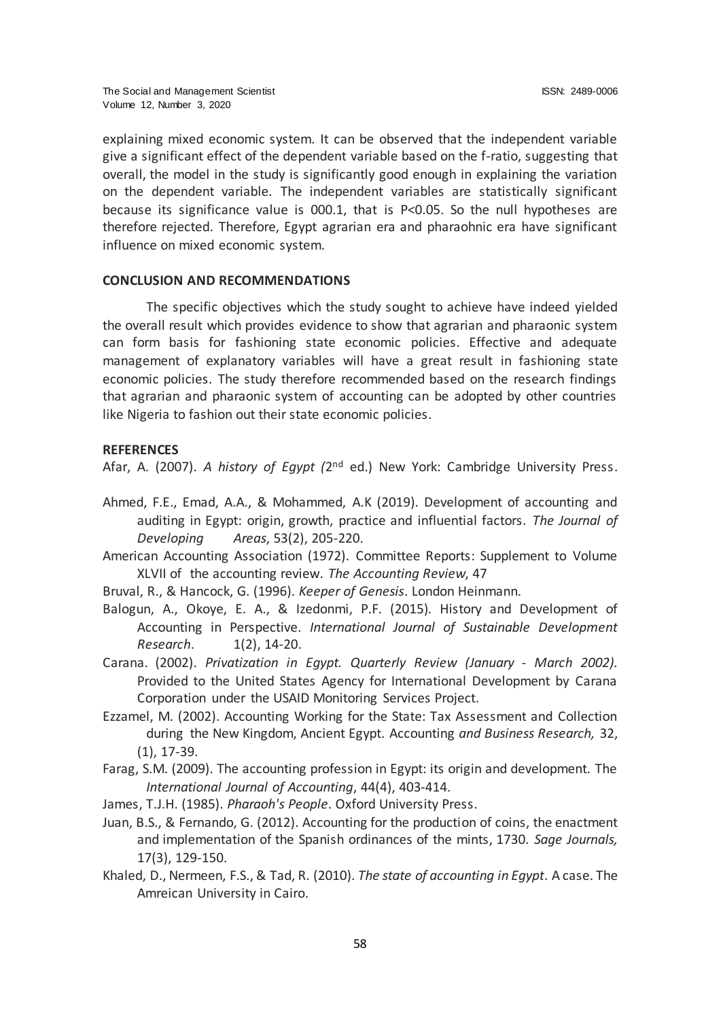explaining mixed economic system. It can be observed that the independent variable give a significant effect of the dependent variable based on the f-ratio, suggesting that overall, the model in the study is significantly good enough in explaining the variation on the dependent variable. The independent variables are statistically significant because its significance value is 000.1, that is P<0.05. So the null hypotheses are therefore rejected. Therefore, Egypt agrarian era and pharaohnic era have significant influence on mixed economic system.

#### **CONCLUSION AND RECOMMENDATIONS**

The specific objectives which the study sought to achieve have indeed yielded the overall result which provides evidence to show that agrarian and pharaonic system can form basis for fashioning state economic policies. Effective and adequate management of explanatory variables will have a great result in fashioning state economic policies. The study therefore recommended based on the research findings that agrarian and pharaonic system of accounting can be adopted by other countries like Nigeria to fashion out their state economic policies.

#### **REFERENCES**

Afar, A. (2007). *A history of Egypt (*2<sup>nd</sup> ed.) New York: Cambridge University Press.

- Ahmed, F.E., Emad, A.A., & Mohammed, A.K (2019). Development of accounting and auditing in Egypt: origin, growth, practice and influential factors. *The Journal of Developing Areas*, 53(2), 205-220.
- American Accounting Association (1972). Committee Reports: Supplement to Volume XLVII of the accounting review. *The Accounting Review*, 47

Bruval, R., & Hancock, G. (1996). *Keeper of Genesis*. London Heinmann.

- Balogun, A., Okoye, E. A., & Izedonmi, P.F. (2015). History and Development of Accounting in Perspective. *International Journal of Sustainable Development Research*. 1(2), 14-20.
- Carana. (2002). *Privatization in Egypt. Quarterly Review (January - March 2002).* Provided to the United States Agency for International Development by Carana Corporation under the USAID Monitoring Services Project.
- Ezzamel, M. (2002). Accounting Working for the State: Tax Assessment and Collection during the New Kingdom, Ancient Egypt. Accounting *and Business Research,* 32, (1), 17-39.
- Farag, S.M. (2009). The accounting profession in Egypt: its origin and development. The *International Journal of Accounting*, 44(4), 403-414.
- James, T.J.H. (1985). *Pharaoh's People*. Oxford University Press.
- Juan, B.S., & Fernando, G. (2012). Accounting for the production of coins, the enactment and implementation of the Spanish ordinances of the mints, 1730. *Sage Journals,*  17(3), 129-150.
- Khaled, D., Nermeen, F.S., & Tad, R. (2010). *The state of accounting in Egypt*. A case. The Amreican University in Cairo.